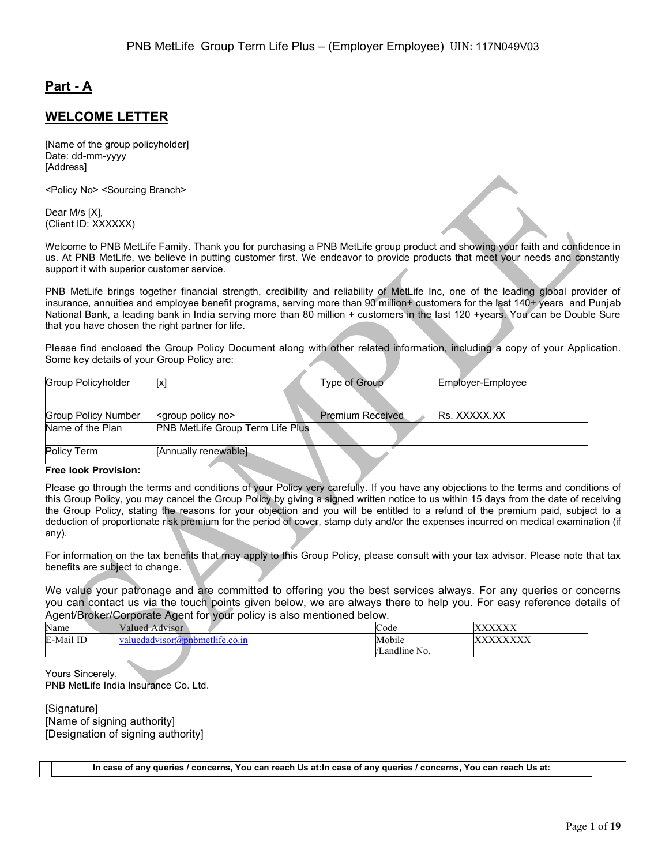# **Part - A**

# **WELCOME LETTER**

[Name of the group policyholder] Date: dd-mm-yyyy [Address]

<Policy No> <Sourcing Branch>

Dear M/s [X], (Client ID: XXXXXX)

Welcome to PNB MetLife Family. Thank you for purchasing a PNB MetLife group product and showing your faith and confidence in us. At PNB MetLife, we believe in putting customer first. We endeavor to provide products that meet your needs and constantly support it with superior customer service.

PNB MetLife brings together financial strength, credibility and reliability of MetLife Inc, one of the leading global provider of insurance, annuities and employee benefit programs, serving more than 90 million+ customers for the last 140+ years and Punjab National Bank, a leading bank in India serving more than 80 million + customers in the last 120 +years. You can be Double Sure that you have chosen the right partner for life.

Please find enclosed the Group Policy Document along with other related information, including a copy of your Application. Some key details of your Group Policy are:

| Group Policyholder         | [x]                                     | Type of Group           | Employer-Employee   |
|----------------------------|-----------------------------------------|-------------------------|---------------------|
|                            |                                         |                         |                     |
| <b>Group Policy Number</b> | <group no="" policy=""></group>         | <b>Premium Received</b> | <b>Rs. XXXXX.XX</b> |
| Name of the Plan           | <b>PNB MetLife Group Term Life Plus</b> |                         |                     |
| Policy Term                | [Annually renewable]                    |                         |                     |
|                            |                                         |                         |                     |

#### **Free look Provision:**

Please go through the terms and conditions of your Policy very carefully. If you have any objections to the terms and conditions of this Group Policy, you may cancel the Group Policy by giving a signed written notice to us within 15 days from the date of receiving the Group Policy, stating the reasons for your objection and you will be entitled to a refund of the premium paid, subject to a deduction of proportionate risk premium for the period of cover, stamp duty and/or the expenses incurred on medical examination (if any).

For information on the tax benefits that may apply to this Group Policy, please consult with your tax advisor. Please note that tax benefits are subject to change.

We value your patronage and are committed to offering you the best services always. For any queries or concerns you can contact us via the touch points given below, we are always there to help you. For easy reference details of Agent/Broker/Corporate Agent for your policy is also mentioned below.

| Name             | Valued<br>Advisor                         | $\sim$<br>Code   | 7777777777     |
|------------------|-------------------------------------------|------------------|----------------|
| uil ID<br>E-Mail | .dv1sor′<br>dа<br>thte.co.11<br>nei<br>v. | Mobile           | ,,,,,,,,,<br>` |
|                  |                                           | <br>Landline No. |                |

Yours Sincerely, PNB MetLife India Insurance Co. Ltd.

[Signature] [Name of signing authority] [Designation of signing authority]

**In case of any queries / concerns, You can reach Us at:In case of any queries / concerns, You can reach Us at:**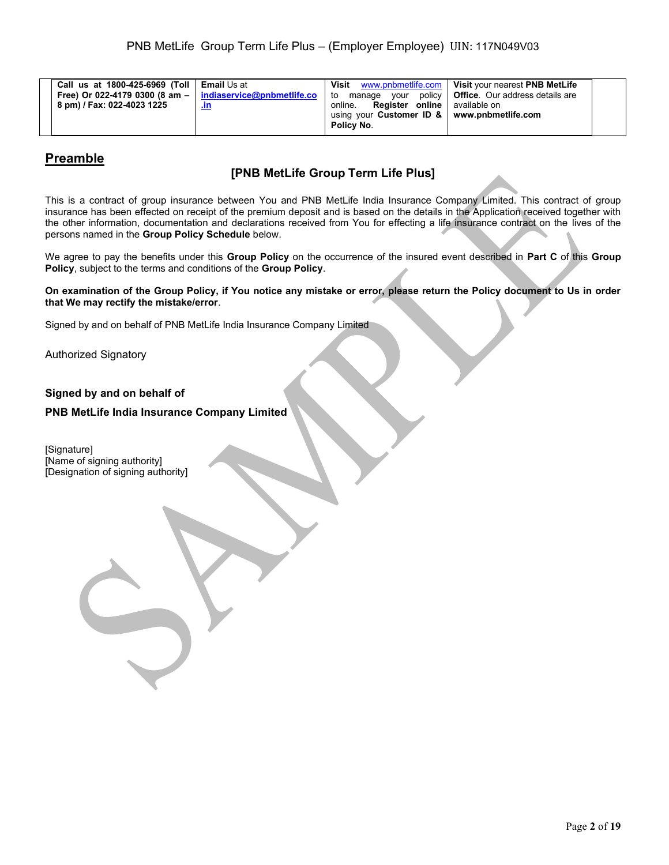| Call us at 1800-425-6969 (Toll   Email Us at<br>Free) Or 022-4179 0300 (8 am $-$   indiaservice@pnbmetlife.co<br>8 pm) / Fax: 022-4023 1225 | <u>.ın</u> | Visit<br>to<br><b>Register online</b> available on<br>online.<br>using your Customer ID &   www.pnbmetlife.com<br>Policy No. | www.pnbmetlife.com   Visit your nearest PNB MetLife<br>manage your policy   Office. Our address details are |  |
|---------------------------------------------------------------------------------------------------------------------------------------------|------------|------------------------------------------------------------------------------------------------------------------------------|-------------------------------------------------------------------------------------------------------------|--|
|---------------------------------------------------------------------------------------------------------------------------------------------|------------|------------------------------------------------------------------------------------------------------------------------------|-------------------------------------------------------------------------------------------------------------|--|

# **Preamble**

# **[PNB MetLife Group Term Life Plus]**

This is a contract of group insurance between You and PNB MetLife India Insurance Company Limited. This contract of group insurance has been effected on receipt of the premium deposit and is based on the details in the Application received together with the other information, documentation and declarations received from You for effecting a life insurance contract on the lives of the persons named in the **Group Policy Schedule** below.

We agree to pay the benefits under this **Group Policy** on the occurrence of the insured event described in **Part C** of this **Group Policy**, subject to the terms and conditions of the **Group Policy**.

**On examination of the Group Policy, if You notice any mistake or error, please return the Policy document to Us in order that We may rectify the mistake/error**.

Signed by and on behalf of PNB MetLife India Insurance Company Limited

Authorized Signatory

# **Signed by and on behalf of**

## **PNB MetLife India Insurance Company Limited**

[Signature] [Name of signing authority] [Designation of signing authority]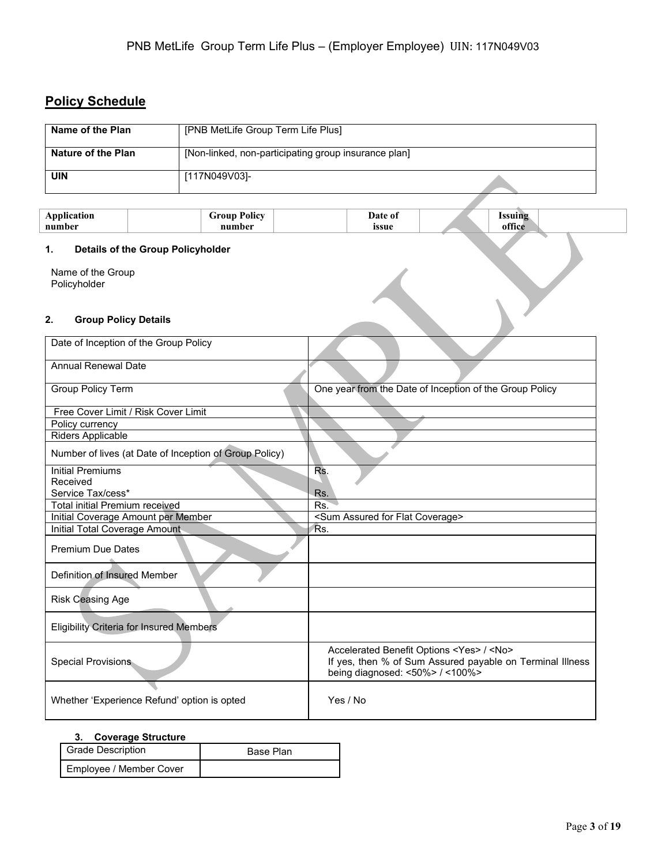# **Policy Schedule**

| Name of the Plan   | [PNB MetLife Group Term Life Plus]                   |
|--------------------|------------------------------------------------------|
| Nature of the Plan | [Non-linked, non-participating group insurance plan] |
| UIN                | [117N049V03]-                                        |

| <b>Application</b><br>number             | <b>Group Policy</b><br>number | Date of<br>issue | <b>Issuing</b><br>office |
|------------------------------------------|-------------------------------|------------------|--------------------------|
| Details of the Group Policyholder<br>1.  |                               |                  |                          |
| Name of the Group<br>Policyholder        |                               |                  |                          |
| <b>Group Policy Details</b><br>2.        |                               |                  |                          |
| Dete of becombing of the Opening Delbert |                               |                  |                          |

## **1. Details of the Group Policyholder**

## **2. Group Policy Details**

| Date of Inception of the Group Policy                  |                                                                                                                                                                   |
|--------------------------------------------------------|-------------------------------------------------------------------------------------------------------------------------------------------------------------------|
| <b>Annual Renewal Date</b>                             |                                                                                                                                                                   |
| <b>Group Policy Term</b>                               | One year from the Date of Inception of the Group Policy                                                                                                           |
| Free Cover Limit / Risk Cover Limit                    |                                                                                                                                                                   |
| Policy currency                                        |                                                                                                                                                                   |
| Riders Applicable                                      |                                                                                                                                                                   |
| Number of lives (at Date of Inception of Group Policy) |                                                                                                                                                                   |
| <b>Initial Premiums</b>                                | Rs.                                                                                                                                                               |
| Received                                               |                                                                                                                                                                   |
| Service Tax/cess*                                      | Rs.                                                                                                                                                               |
| Total initial Premium received                         | Rs.                                                                                                                                                               |
| Initial Coverage Amount per Member                     | <sum assured="" coverage="" flat="" for=""></sum>                                                                                                                 |
| Initial Total Coverage Amount                          | Rs.                                                                                                                                                               |
| <b>Premium Due Dates</b>                               |                                                                                                                                                                   |
| Definition of Insured Member                           |                                                                                                                                                                   |
| Risk Ceasing Age                                       |                                                                                                                                                                   |
| <b>Eligibility Criteria for Insured Members</b>        |                                                                                                                                                                   |
| <b>Special Provisions</b>                              | Accelerated Benefit Options <yes> / <no><br/>If yes, then % of Sum Assured payable on Terminal Illness<br/>being diagnosed: &lt;50%&gt; / &lt;100%&gt;</no></yes> |
| Whether 'Experience Refund' option is opted            | Yes / No                                                                                                                                                          |

### **3. Coverage Structure**

| <b>Grade Description</b> | Base Plan |
|--------------------------|-----------|
| Employee / Member Cover  |           |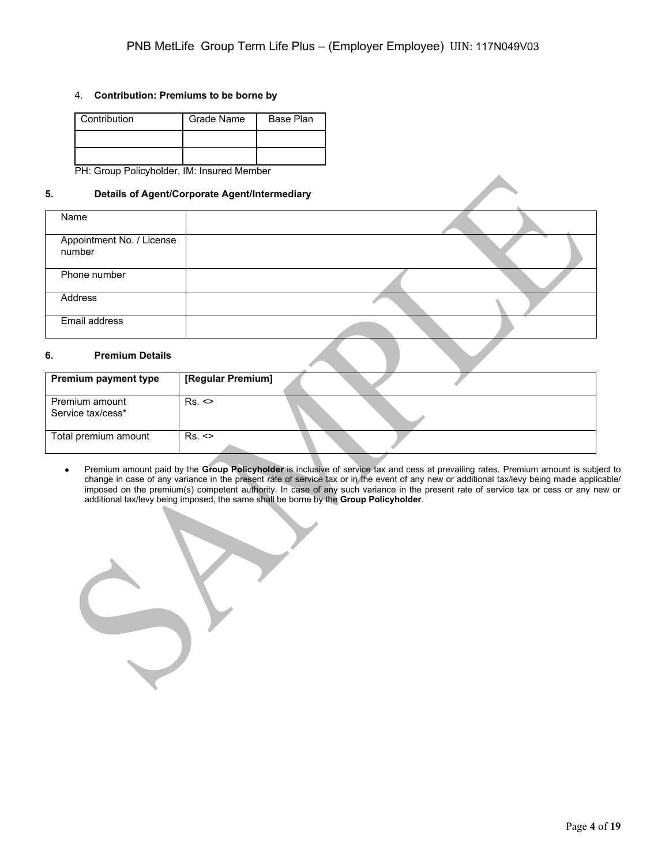### 4. **Contribution: Premiums to be borne by**

| Contribution | Grade Name | Base Plan |
|--------------|------------|-----------|
|              |            |           |
|              |            |           |

PH: Group Policyholder, IM: Insured Member

### **5. Details of Agent/Corporate Agent/Intermediary**

| Name                                |  |
|-------------------------------------|--|
| Appointment No. / License<br>number |  |
| Phone number                        |  |
| Address                             |  |
| Email address                       |  |

## **6. Premium Details**

| <b>Premium payment type</b>         | [Regular Premium] |  |
|-------------------------------------|-------------------|--|
| Premium amount<br>Service tax/cess* | Rs.               |  |
| Total premium amount                | Rs.               |  |

• Premium amount paid by the **Group Policyholder** is inclusive of service tax and cess at prevailing rates. Premium amount is subject to change in case of any variance in the present rate of service tax or in the event of any new or additional tax/levy being made applicable/ imposed on the premium(s) competent authority. In case of any such variance in the present rate of service tax or cess or any new or additional tax/levy being imposed, the same shall be borne by the **Group Policyholder**.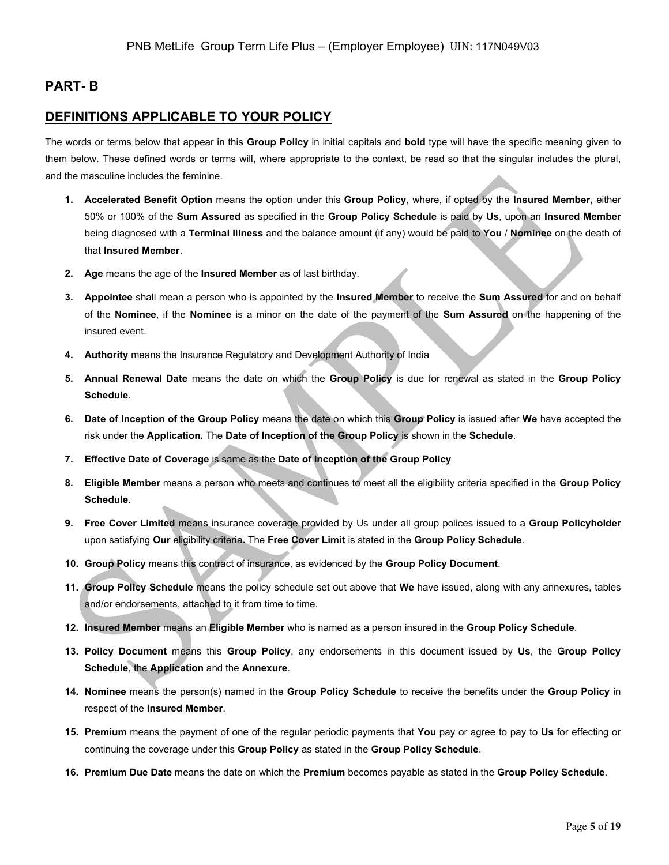# **PART- B**

## **DEFINITIONS APPLICABLE TO YOUR POLICY**

The words or terms below that appear in this **Group Policy** in initial capitals and **bold** type will have the specific meaning given to them below. These defined words or terms will, where appropriate to the context, be read so that the singular includes the plural, and the masculine includes the feminine.

- **1. Accelerated Benefit Option** means the option under this **Group Policy**, where, if opted by the **Insured Member,** either 50% or 100% of the **Sum Assured** as specified in the **Group Policy Schedule** is paid by **Us**, upon an **Insured Member** being diagnosed with a **Terminal Illness** and the balance amount (if any) would be paid to **You** / **Nominee** on the death of that **Insured Member**.
- **2. Age** means the age of the **Insured Member** as of last birthday.
- **3. Appointee** shall mean a person who is appointed by the **Insured Member** to receive the **Sum Assured** for and on behalf of the **Nominee**, if the **Nominee** is a minor on the date of the payment of the **Sum Assured** on the happening of the insured event.
- **4. Authority** means the Insurance Regulatory and Development Authority of India
- **5. Annual Renewal Date** means the date on which the **Group Policy** is due for renewal as stated in the **Group Policy Schedule**.
- **6. Date of Inception of the Group Policy** means the date on which this **Group Policy** is issued after **We** have accepted the risk under the **Application.** The **Date of Inception of the Group Policy** is shown in the **Schedule**.
- **7. Effective Date of Coverage** is same as the **Date of Inception of the Group Policy**
- **8. Eligible Member** means a person who meets and continues to meet all the eligibility criteria specified in the **Group Policy Schedule**.
- **9. Free Cover Limited** means insurance coverage provided by Us under all group polices issued to a **Group Policyholder**  upon satisfying **Our** eligibility criteria**.** The **Free Cover Limit** is stated in the **Group Policy Schedule**.
- **10. Group Policy** means this contract of insurance, as evidenced by the **Group Policy Document**.
- **11. Group Policy Schedule** means the policy schedule set out above that **We** have issued, along with any annexures, tables and/or endorsements, attached to it from time to time.
- **12. Insured Member** means an **Eligible Member** who is named as a person insured in the **Group Policy Schedule**.
- **13. Policy Document** means this **Group Policy**, any endorsements in this document issued by **Us**, the **Group Policy Schedule**, the **Application** and the **Annexure**.
- **14. Nominee** means the person(s) named in the **Group Policy Schedule** to receive the benefits under the **Group Policy** in respect of the **Insured Member**.
- **15. Premium** means the payment of one of the regular periodic payments that **You** pay or agree to pay to **Us** for effecting or continuing the coverage under this **Group Policy** as stated in the **Group Policy Schedule**.
- **16. Premium Due Date** means the date on which the **Premium** becomes payable as stated in the **Group Policy Schedule**.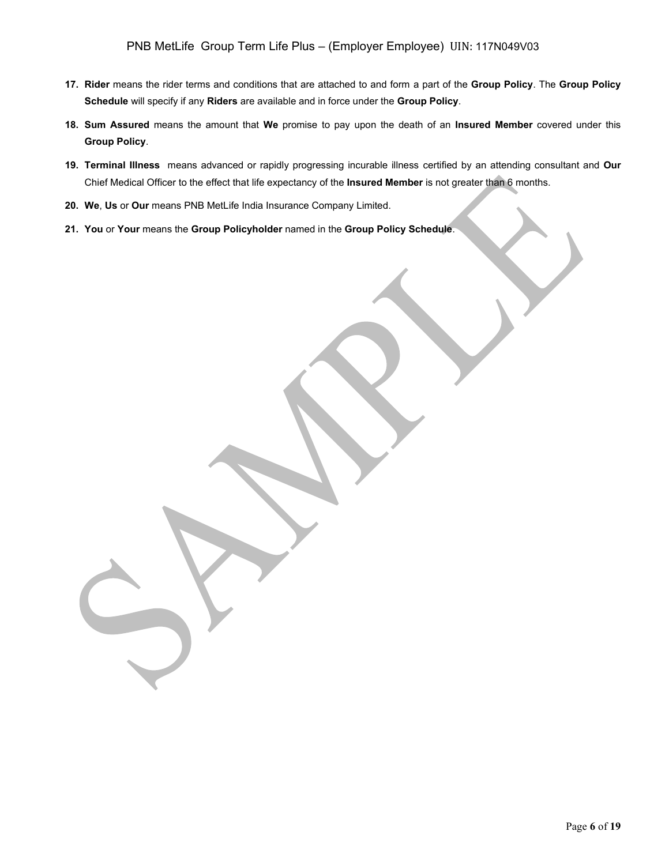- **17. Rider** means the rider terms and conditions that are attached to and form a part of the **Group Policy**. The **Group Policy Schedule** will specify if any **Riders** are available and in force under the **Group Policy**.
- **18. Sum Assured** means the amount that **We** promise to pay upon the death of an **Insured Member** covered under this **Group Policy**.
- **19. Terminal Illness** means advanced or rapidly progressing incurable illness certified by an attending consultant and **Our**  Chief Medical Officer to the effect that life expectancy of the **Insured Member** is not greater than 6 months.
- **20. We**, **Us** or **Our** means PNB MetLife India Insurance Company Limited.
- **21. You** or **Your** means the **Group Policyholder** named in the **Group Policy Schedule**.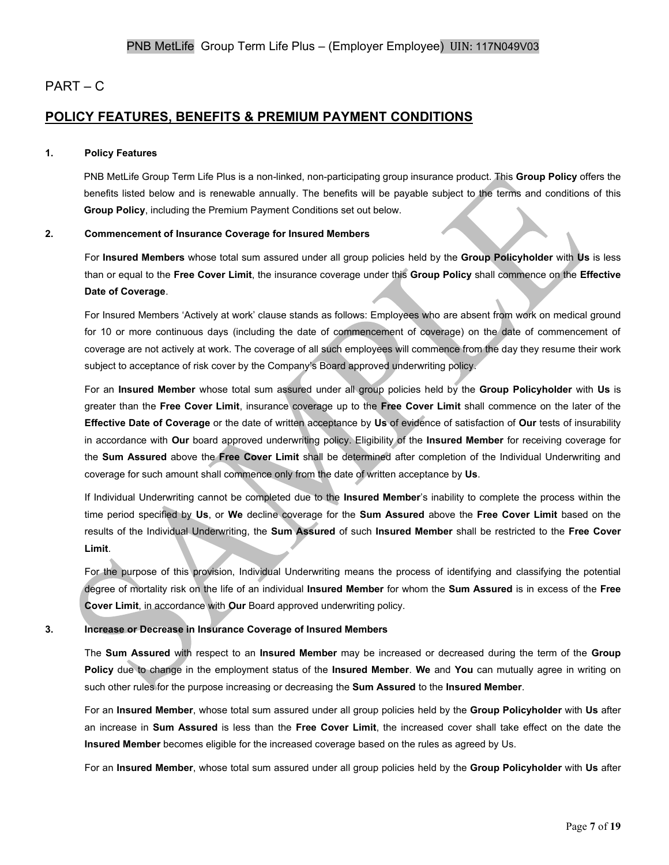# PART – C

# **POLICY FEATURES, BENEFITS & PREMIUM PAYMENT CONDITIONS**

#### **1. Policy Features**

PNB MetLife Group Term Life Plus is a non-linked, non-participating group insurance product. This **Group Policy** offers the benefits listed below and is renewable annually. The benefits will be payable subject to the terms and conditions of this **Group Policy**, including the Premium Payment Conditions set out below.

### **2. Commencement of Insurance Coverage for Insured Members**

For **Insured Members** whose total sum assured under all group policies held by the **Group Policyholder** with **Us** is less than or equal to the **Free Cover Limit**, the insurance coverage under this **Group Policy** shall commence on the **Effective Date of Coverage**.

For Insured Members 'Actively at work' clause stands as follows: Employees who are absent from work on medical ground for 10 or more continuous days (including the date of commencement of coverage) on the date of commencement of coverage are not actively at work. The coverage of all such employees will commence from the day they resume their work subject to acceptance of risk cover by the Company's Board approved underwriting policy.

For an **Insured Member** whose total sum assured under all group policies held by the **Group Policyholder** with **Us** is greater than the **Free Cover Limit**, insurance coverage up to the **Free Cover Limit** shall commence on the later of the **Effective Date of Coverage** or the date of written acceptance by **Us** of evidence of satisfaction of **Our** tests of insurability in accordance with **Our** board approved underwriting policy. Eligibility of the **Insured Member** for receiving coverage for the **Sum Assured** above the **Free Cover Limit** shall be determined after completion of the Individual Underwriting and coverage for such amount shall commence only from the date of written acceptance by **Us**.

If Individual Underwriting cannot be completed due to the **Insured Member**'s inability to complete the process within the time period specified by **Us**, or **We** decline coverage for the **Sum Assured** above the **Free Cover Limit** based on the results of the Individual Underwriting, the **Sum Assured** of such **Insured Member** shall be restricted to the **Free Cover Limit**.

For the purpose of this provision, Individual Underwriting means the process of identifying and classifying the potential degree of mortality risk on the life of an individual **Insured Member** for whom the **Sum Assured** is in excess of the **Free Cover Limit**, in accordance with **Our** Board approved underwriting policy.

## **3. Increase or Decrease in Insurance Coverage of Insured Members**

The **Sum Assured** with respect to an **Insured Member** may be increased or decreased during the term of the **Group Policy** due to change in the employment status of the **Insured Member**. **We** and **You** can mutually agree in writing on such other rules for the purpose increasing or decreasing the **Sum Assured** to the **Insured Member**.

For an **Insured Member**, whose total sum assured under all group policies held by the **Group Policyholder** with **Us** after an increase in **Sum Assured** is less than the **Free Cover Limit**, the increased cover shall take effect on the date the **Insured Member** becomes eligible for the increased coverage based on the rules as agreed by Us.

For an **Insured Member**, whose total sum assured under all group policies held by the **Group Policyholder** with **Us** after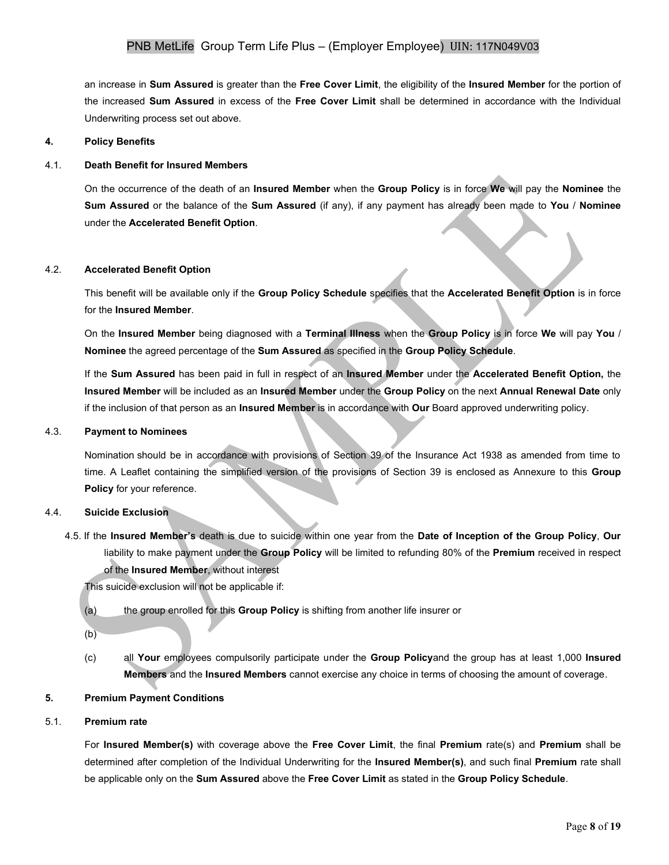an increase in **Sum Assured** is greater than the **Free Cover Limit**, the eligibility of the **Insured Member** for the portion of the increased **Sum Assured** in excess of the **Free Cover Limit** shall be determined in accordance with the Individual Underwriting process set out above.

#### **4. Policy Benefits**

#### 4.1. **Death Benefit for Insured Members**

On the occurrence of the death of an **Insured Member** when the **Group Policy** is in force **We** will pay the **Nominee** the **Sum Assured** or the balance of the **Sum Assured** (if any), if any payment has already been made to **You** / **Nominee** under the **Accelerated Benefit Option**.

#### 4.2. **Accelerated Benefit Option**

This benefit will be available only if the **Group Policy Schedule** specifies that the **Accelerated Benefit Option** is in force for the **Insured Member**.

On the **Insured Member** being diagnosed with a **Terminal Illness** when the **Group Policy** is in force **We** will pay **You** / **Nominee** the agreed percentage of the **Sum Assured** as specified in the **Group Policy Schedule**.

If the **Sum Assured** has been paid in full in respect of an **Insured Member** under the **Accelerated Benefit Option,** the **Insured Member** will be included as an **Insured Member** under the **Group Policy** on the next **Annual Renewal Date** only if the inclusion of that person as an **Insured Member** is in accordance with **Our** Board approved underwriting policy.

#### 4.3. **Payment to Nominees**

Nomination should be in accordance with provisions of Section 39 of the Insurance Act 1938 as amended from time to time. A Leaflet containing the simplified version of the provisions of Section 39 is enclosed as Annexure to this **Group Policy** for your reference.

#### 4.4. **Suicide Exclusion**

4.5. If the **Insured Member's** death is due to suicide within one year from the **Date of Inception of the Group Policy**, **Our** liability to make payment under the **Group Policy** will be limited to refunding 80% of the **Premium** received in respect of the **Insured Member**, without interest

This suicide exclusion will not be applicable if:

(a) the group enrolled for this **Group Policy** is shifting from another life insurer or

(b)

(c) all **Your** employees compulsorily participate under the **Group Policy**and the group has at least 1,000 **Insured Members** and the **Insured Members** cannot exercise any choice in terms of choosing the amount of coverage.

#### **5. Premium Payment Conditions**

## 5.1. **Premium rate**

For **Insured Member(s)** with coverage above the **Free Cover Limit**, the final **Premium** rate(s) and **Premium** shall be determined after completion of the Individual Underwriting for the **Insured Member(s)**, and such final **Premium** rate shall be applicable only on the **Sum Assured** above the **Free Cover Limit** as stated in the **Group Policy Schedule**.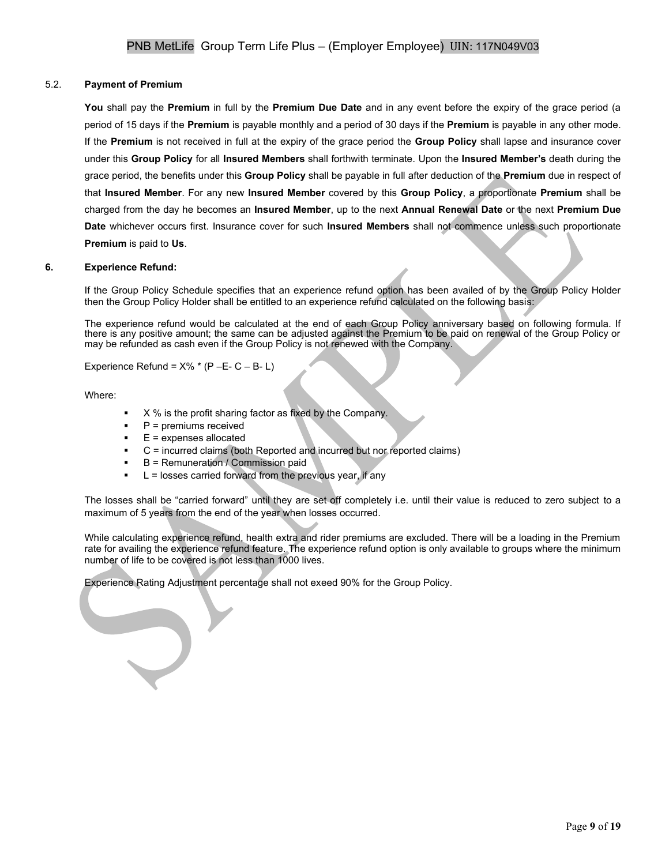## 5.2. **Payment of Premium**

**You** shall pay the **Premium** in full by the **Premium Due Date** and in any event before the expiry of the grace period (a period of 15 days if the **Premium** is payable monthly and a period of 30 days if the **Premium** is payable in any other mode. If the **Premium** is not received in full at the expiry of the grace period the **Group Policy** shall lapse and insurance cover under this **Group Policy** for all **Insured Members** shall forthwith terminate. Upon the **Insured Member's** death during the grace period, the benefits under this **Group Policy** shall be payable in full after deduction of the **Premium** due in respect of that **Insured Member**. For any new **Insured Member** covered by this **Group Policy**, a proportionate **Premium** shall be charged from the day he becomes an **Insured Member**, up to the next **Annual Renewal Date** or the next **Premium Due Date** whichever occurs first. Insurance cover for such **Insured Members** shall not commence unless such proportionate **Premium** is paid to **Us**.

### **6. Experience Refund:**

If the Group Policy Schedule specifies that an experience refund option has been availed of by the Group Policy Holder then the Group Policy Holder shall be entitled to an experience refund calculated on the following basis:

The experience refund would be calculated at the end of each Group Policy anniversary based on following formula. If there is any positive amount; the same can be adjusted against the Premium to be paid on renewal of the Group Policy or may be refunded as cash even if the Group Policy is not renewed with the Company.

Experience Refund =  $X\%$  \* (P – E- C – B- L)

Where:

- X % is the profit sharing factor as fixed by the Company.
- $P =$  premiums received
- $E =$  expenses allocated
- $C =$  incurred claims (both Reported and incurred but nor reported claims)
- $B$  = Remuneration / Commission paid
- $L =$  losses carried forward from the previous year, if any

The losses shall be "carried forward" until they are set off completely i.e. until their value is reduced to zero subject to a maximum of 5 years from the end of the year when losses occurred.

While calculating experience refund, health extra and rider premiums are excluded. There will be a loading in the Premium rate for availing the experience refund feature. The experience refund option is only available to groups where the minimum number of life to be covered is not less than 1000 lives.

Experience Rating Adjustment percentage shall not exeed 90% for the Group Policy.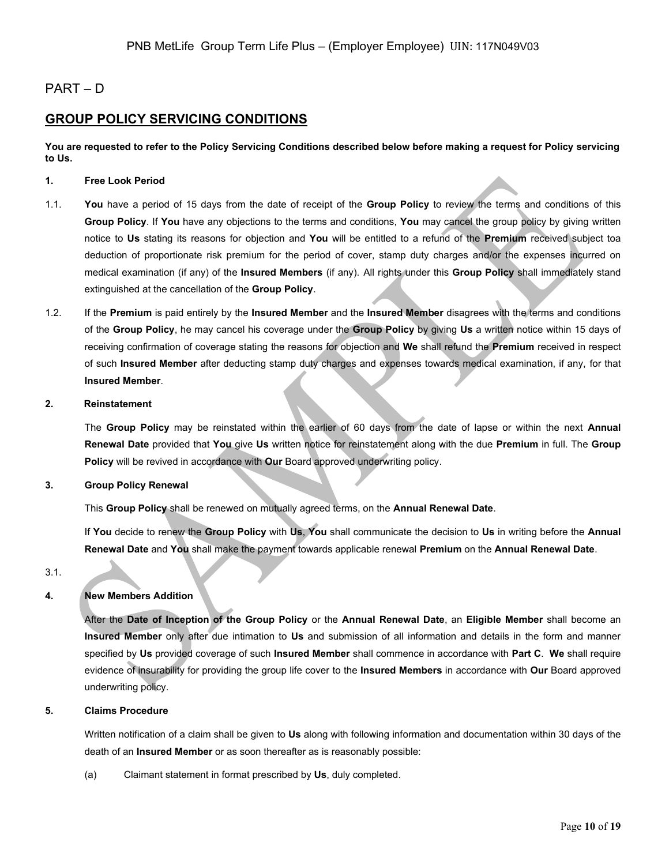# PART – D

# **GROUP POLICY SERVICING CONDITIONS**

**You are requested to refer to the Policy Servicing Conditions described below before making a request for Policy servicing to Us.**

## **1. Free Look Period**

- 1.1. **You** have a period of 15 days from the date of receipt of the **Group Policy** to review the terms and conditions of this **Group Policy**. If **You** have any objections to the terms and conditions, **You** may cancel the group policy by giving written notice to **Us** stating its reasons for objection and **You** will be entitled to a refund of the **Premium** received subject toa deduction of proportionate risk premium for the period of cover, stamp duty charges and/or the expenses incurred on medical examination (if any) of the **Insured Members** (if any). All rights under this **Group Policy** shall immediately stand extinguished at the cancellation of the **Group Policy**.
- 1.2. If the **Premium** is paid entirely by the **Insured Member** and the **Insured Member** disagrees with the terms and conditions of the **Group Policy**, he may cancel his coverage under the **Group Policy** by giving **Us** a written notice within 15 days of receiving confirmation of coverage stating the reasons for objection and **We** shall refund the **Premium** received in respect of such **Insured Member** after deducting stamp duty charges and expenses towards medical examination, if any, for that **Insured Member**.

#### **2. Reinstatement**

The **Group Policy** may be reinstated within the earlier of 60 days from the date of lapse or within the next **Annual Renewal Date** provided that **You** give **Us** written notice for reinstatement along with the due **Premium** in full. The **Group Policy** will be revived in accordance with **Our** Board approved underwriting policy.

#### **3. Group Policy Renewal**

This **Group Policy** shall be renewed on mutually agreed terms, on the **Annual Renewal Date**.

If **You** decide to renew the **Group Policy** with **Us**, **You** shall communicate the decision to **Us** in writing before the **Annual Renewal Date** and **You** shall make the payment towards applicable renewal **Premium** on the **Annual Renewal Date**.

3.1.

## **4. New Members Addition**

After the **Date of Inception of the Group Policy** or the **Annual Renewal Date**, an **Eligible Member** shall become an **Insured Member** only after due intimation to **Us** and submission of all information and details in the form and manner specified by **Us** provided coverage of such **Insured Member** shall commence in accordance with **Part C**. **We** shall require evidence of insurability for providing the group life cover to the **Insured Members** in accordance with **Our** Board approved underwriting policy.

## **5. Claims Procedure**

Written notification of a claim shall be given to **Us** along with following information and documentation within 30 days of the death of an **Insured Member** or as soon thereafter as is reasonably possible:

(a) Claimant statement in format prescribed by **Us**, duly completed.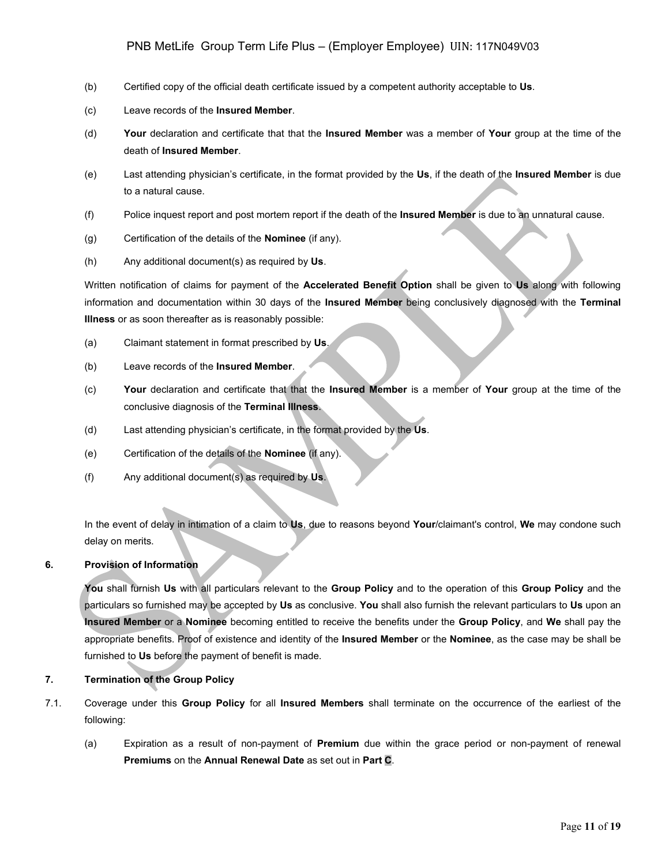## PNB MetLife Group Term Life Plus – (Employer Employee) UIN: 117N049V03

- (b) Certified copy of the official death certificate issued by a competent authority acceptable to **Us**.
- (c) Leave records of the **Insured Member**.
- (d) **Your** declaration and certificate that that the **Insured Member** was a member of **Your** group at the time of the death of **Insured Member**.
- (e) Last attending physician's certificate, in the format provided by the **Us**, if the death of the **Insured Member** is due to a natural cause.
- (f) Police inquest report and post mortem report if the death of the **Insured Member** is due to an unnatural cause.
- (g) Certification of the details of the **Nominee** (if any).
- (h) Any additional document(s) as required by **Us**.

Written notification of claims for payment of the **Accelerated Benefit Option** shall be given to **Us** along with following information and documentation within 30 days of the **Insured Member** being conclusively diagnosed with the **Terminal Illness** or as soon thereafter as is reasonably possible:

- (a) Claimant statement in format prescribed by **Us**.
- (b) Leave records of the **Insured Member**.
- (c) **Your** declaration and certificate that that the **Insured Member** is a member of **Your** group at the time of the conclusive diagnosis of the **Terminal Illness**.
- (d) Last attending physician's certificate, in the format provided by the **Us**.
- (e) Certification of the details of the **Nominee** (if any).
- (f) Any additional document(s) as required by **Us**.

In the event of delay in intimation of a claim to **Us**, due to reasons beyond **Your**/claimant's control, **We** may condone such delay on merits.

## **6. Provision of Information**

**You** shall furnish **Us** with all particulars relevant to the **Group Policy** and to the operation of this **Group Policy** and the particulars so furnished may be accepted by **Us** as conclusive. **You** shall also furnish the relevant particulars to **Us** upon an **Insured Member** or a **Nominee** becoming entitled to receive the benefits under the **Group Policy**, and **We** shall pay the appropriate benefits. Proof of existence and identity of the **Insured Member** or the **Nominee**, as the case may be shall be furnished to **Us** before the payment of benefit is made.

## **7. Termination of the Group Policy**

- 7.1. Coverage under this **Group Policy** for all **Insured Members** shall terminate on the occurrence of the earliest of the following:
	- (a) Expiration as a result of non-payment of **Premium** due within the grace period or non-payment of renewal **Premiums** on the **Annual Renewal Date** as set out in **Part C**.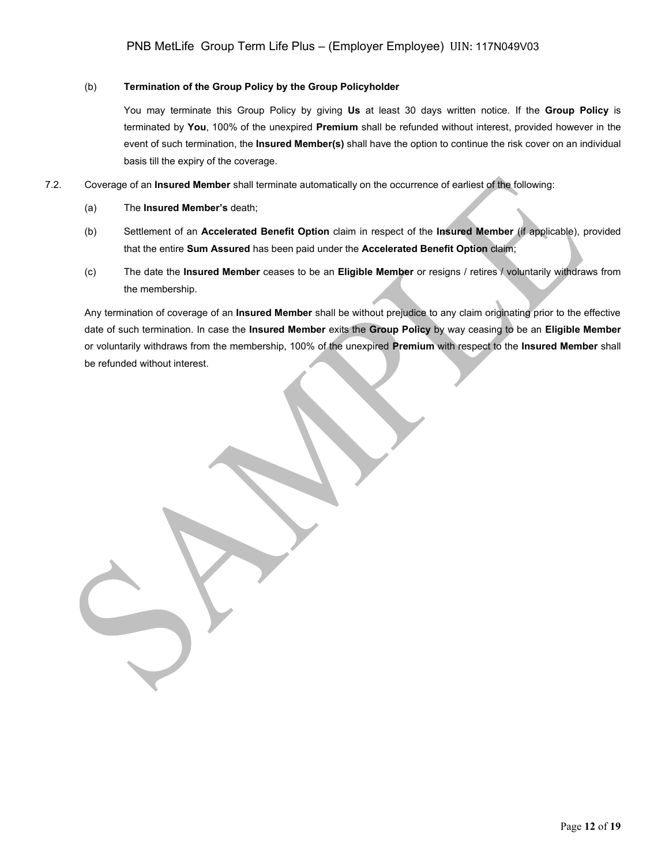## (b) **Termination of the Group Policy by the Group Policyholder**

You may terminate this Group Policy by giving **Us** at least 30 days written notice. If the **Group Policy** is terminated by **You**, 100% of the unexpired **Premium** shall be refunded without interest, provided however in the event of such termination, the **Insured Member(s)** shall have the option to continue the risk cover on an individual basis till the expiry of the coverage.

- 7.2. Coverage of an **Insured Member** shall terminate automatically on the occurrence of earliest of the following:
	- (a) The **Insured Member's** death;
	- (b) Settlement of an **Accelerated Benefit Option** claim in respect of the **Insured Member** (if applicable), provided that the entire **Sum Assured** has been paid under the **Accelerated Benefit Option** claim;
	- (c) The date the **Insured Member** ceases to be an **Eligible Member** or resigns / retires / voluntarily withdraws from the membership.

Any termination of coverage of an **Insured Member** shall be without prejudice to any claim originating prior to the effective date of such termination. In case the **Insured Member** exits the **Group Policy** by way ceasing to be an **Eligible Member** or voluntarily withdraws from the membership, 100% of the unexpired **Premium** with respect to the **Insured Member** shall be refunded without interest.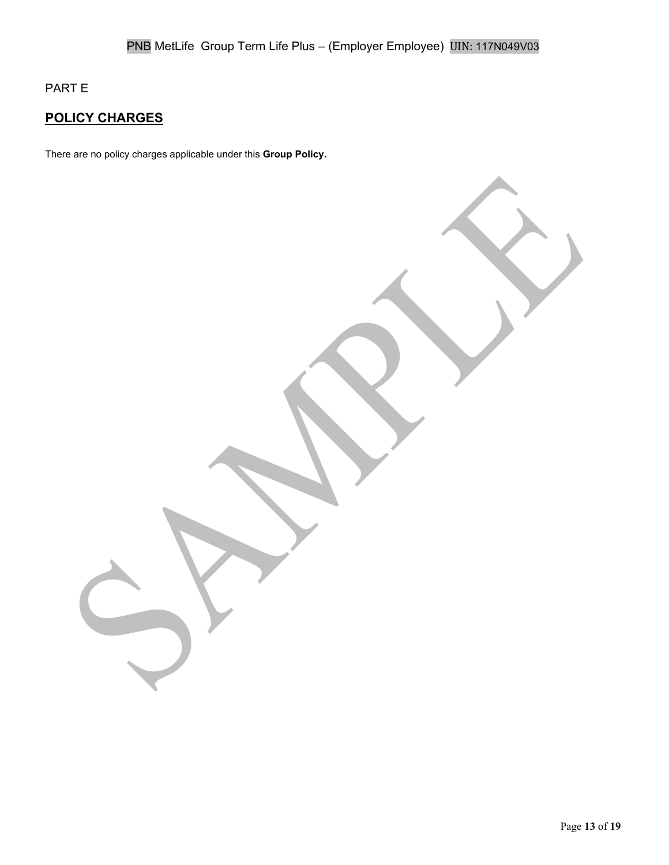PART E

# **POLICY CHARGES**

There are no policy charges applicable under this **Group Policy.**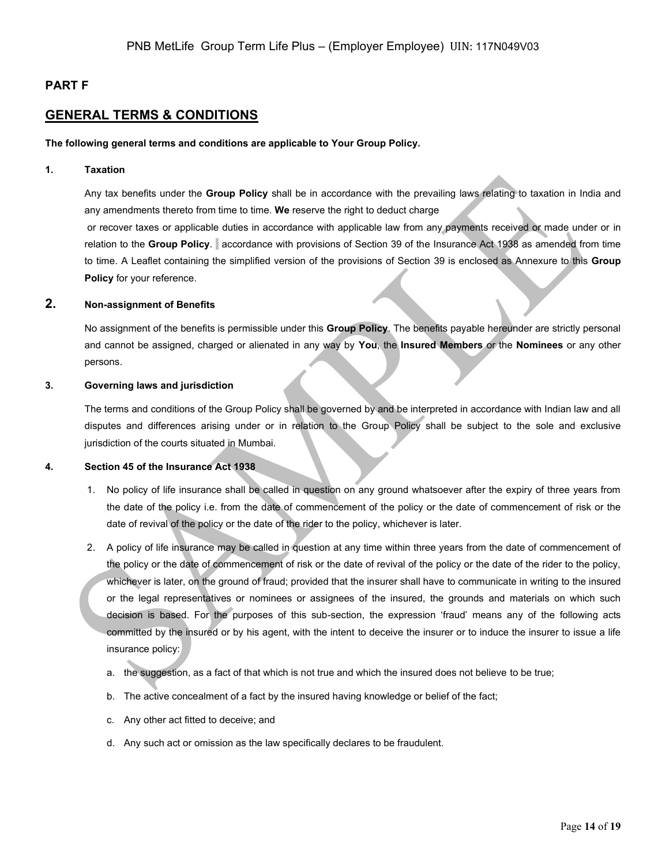## **PART F**

## **GENERAL TERMS & CONDITIONS**

#### **The following general terms and conditions are applicable to Your Group Policy.**

#### **1. Taxation**

Any tax benefits under the **Group Policy** shall be in accordance with the prevailing laws relating to taxation in India and any amendments thereto from time to time. **We** reserve the right to deduct charge or recover taxes or applicable duties in accordance with applicable law from any payments received or made under or in relation to the **Group Policy**. accordance with provisions of Section 39 of the Insurance Act 1938 as amended from time to time. A Leaflet containing the simplified version of the provisions of Section 39 is enclosed as Annexure to this **Group Policy** for your reference.

### **2. Non-assignment of Benefits**

No assignment of the benefits is permissible under this **Group Policy**. The benefits payable hereunder are strictly personal and cannot be assigned, charged or alienated in any way by **You**, the **Insured Members** or the **Nominees** or any other persons.

#### **3. Governing laws and jurisdiction**

The terms and conditions of the Group Policy shall be governed by and be interpreted in accordance with Indian law and all disputes and differences arising under or in relation to the Group Policy shall be subject to the sole and exclusive jurisdiction of the courts situated in Mumbai.

#### **4. Section 45 of the Insurance Act 1938**

- 1. No policy of life insurance shall be called in question on any ground whatsoever after the expiry of three years from the date of the policy i.e. from the date of commencement of the policy or the date of commencement of risk or the date of revival of the policy or the date of the rider to the policy, whichever is later.
- 2. A policy of life insurance may be called in question at any time within three years from the date of commencement of the policy or the date of commencement of risk or the date of revival of the policy or the date of the rider to the policy, whichever is later, on the ground of fraud; provided that the insurer shall have to communicate in writing to the insured or the legal representatives or nominees or assignees of the insured, the grounds and materials on which such decision is based. For the purposes of this sub-section, the expression 'fraud' means any of the following acts committed by the insured or by his agent, with the intent to deceive the insurer or to induce the insurer to issue a life insurance policy:
	- a. the suggestion, as a fact of that which is not true and which the insured does not believe to be true;
	- b. The active concealment of a fact by the insured having knowledge or belief of the fact;
	- c. Any other act fitted to deceive; and
	- d. Any such act or omission as the law specifically declares to be fraudulent.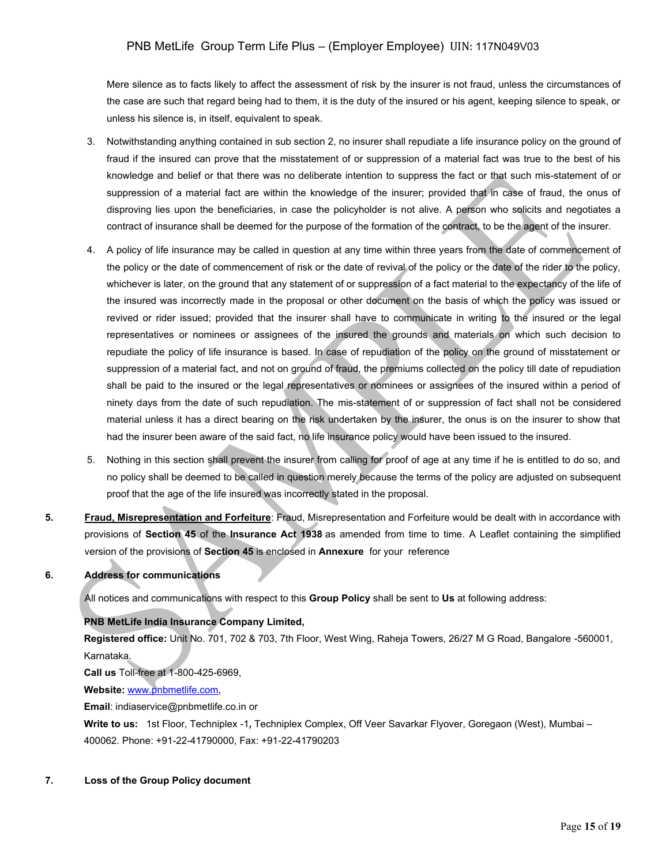Mere silence as to facts likely to affect the assessment of risk by the insurer is not fraud, unless the circumstances of the case are such that regard being had to them, it is the duty of the insured or his agent, keeping silence to speak, or unless his silence is, in itself, equivalent to speak.

- 3. Notwithstanding anything contained in sub section 2, no insurer shall repudiate a life insurance policy on the ground of fraud if the insured can prove that the misstatement of or suppression of a material fact was true to the best of his knowledge and belief or that there was no deliberate intention to suppress the fact or that such mis-statement of or suppression of a material fact are within the knowledge of the insurer; provided that in case of fraud, the onus of disproving lies upon the beneficiaries, in case the policyholder is not alive. A person who solicits and negotiates a contract of insurance shall be deemed for the purpose of the formation of the contract, to be the agent of the insurer.
- 4. A policy of life insurance may be called in question at any time within three years from the date of commencement of the policy or the date of commencement of risk or the date of revival of the policy or the date of the rider to the policy, whichever is later, on the ground that any statement of or suppression of a fact material to the expectancy of the life of the insured was incorrectly made in the proposal or other document on the basis of which the policy was issued or revived or rider issued; provided that the insurer shall have to communicate in writing to the insured or the legal representatives or nominees or assignees of the insured the grounds and materials on which such decision to repudiate the policy of life insurance is based. In case of repudiation of the policy on the ground of misstatement or suppression of a material fact, and not on ground of fraud, the premiums collected on the policy till date of repudiation shall be paid to the insured or the legal representatives or nominees or assignees of the insured within a period of ninety days from the date of such repudiation. The mis-statement of or suppression of fact shall not be considered material unless it has a direct bearing on the risk undertaken by the insurer, the onus is on the insurer to show that had the insurer been aware of the said fact, no life insurance policy would have been issued to the insured.
- 5. Nothing in this section shall prevent the insurer from calling for proof of age at any time if he is entitled to do so, and no policy shall be deemed to be called in question merely because the terms of the policy are adjusted on subsequent proof that the age of the life insured was incorrectly stated in the proposal.
- **5. Fraud, Misrepresentation and Forfeiture**: Fraud, Misrepresentation and Forfeiture would be dealt with in accordance with provisions of **Section 45** of the **Insurance Act 1938** as amended from time to time. A Leaflet containing the simplified version of the provisions of **Section 45** is enclosed in **Annexure** for your reference

## **6. Address for communications**

All notices and communications with respect to this **Group Policy** shall be sent to **Us** at following address:

## **PNB MetLife India Insurance Company Limited,**

**Registered office:** Unit No. 701, 702 & 703, 7th Floor, West Wing, Raheja Towers, 26/27 M G Road, Bangalore -560001, Karnataka.

**Call us** Toll-free at 1-800-425-6969,

**Website:** [www.pnbmetlife.com,](http://www.pnbmetlife.com/)

**Email**: indiaservice@pnbmetlife.co.in or

**Write to us:** 1st Floor, Techniplex -1*,* Techniplex Complex, Off Veer Savarkar Flyover, Goregaon (West), Mumbai – 400062. Phone: +91-22-41790000, Fax: +91-22-41790203

### **7. Loss of the Group Policy document**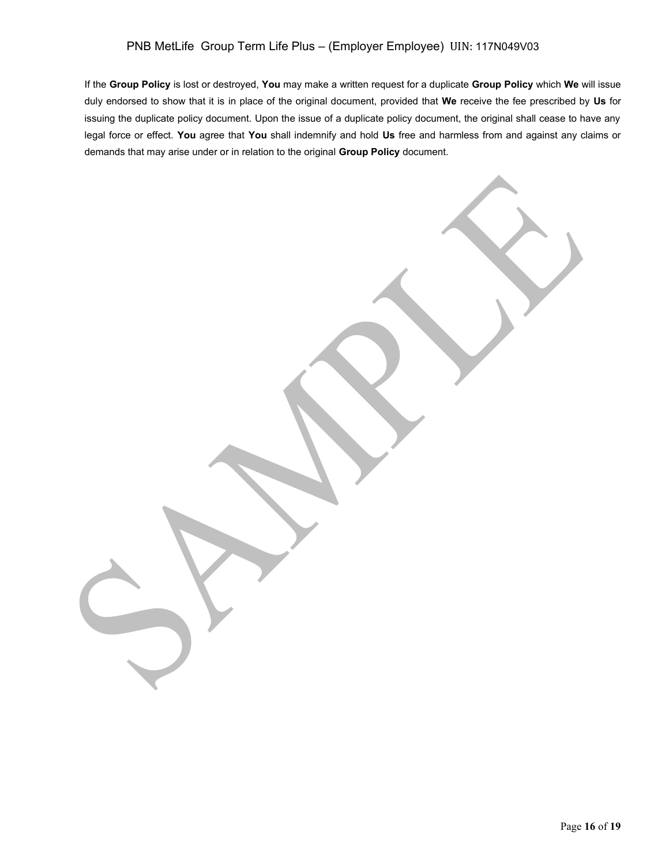# PNB MetLife Group Term Life Plus – (Employer Employee) UIN: 117N049V03

If the **Group Policy** is lost or destroyed, **You** may make a written request for a duplicate **Group Policy** which **We** will issue duly endorsed to show that it is in place of the original document, provided that **We** receive the fee prescribed by **Us** for issuing the duplicate policy document. Upon the issue of a duplicate policy document, the original shall cease to have any legal force or effect. **You** agree that **You** shall indemnify and hold **Us** free and harmless from and against any claims or demands that may arise under or in relation to the original **Group Policy** document.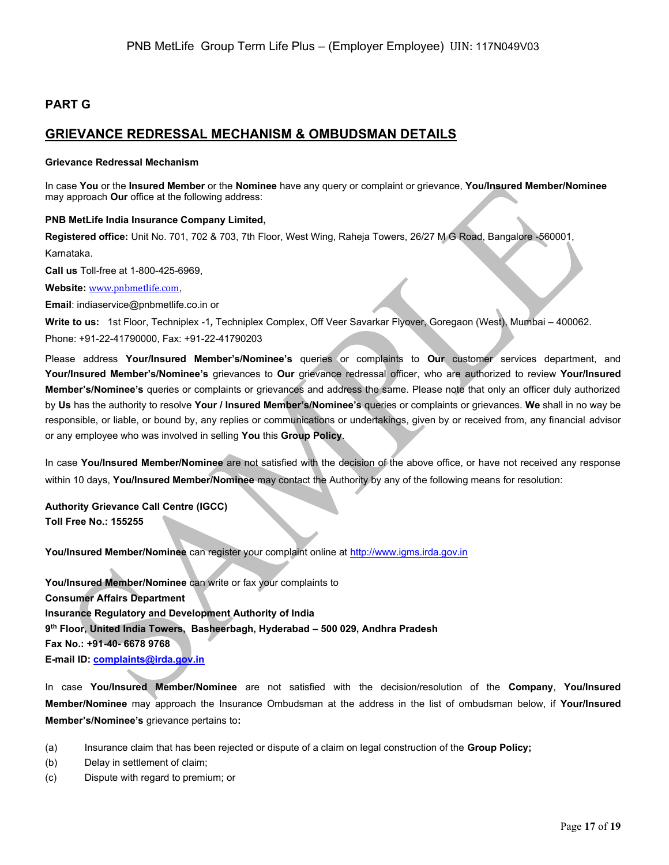# **PART G**

# **GRIEVANCE REDRESSAL MECHANISM & OMBUDSMAN DETAILS**

#### **Grievance Redressal Mechanism**

In case **You** or the **Insured Member** or the **Nominee** have any query or complaint or grievance, **You/Insured Member/Nominee** may approach **Our** office at the following address:

#### **PNB MetLife India Insurance Company Limited,**

**Registered office:** Unit No. 701, 702 & 703, 7th Floor, West Wing, Raheja Towers, 26/27 M G Road, Bangalore -560001,

Karnataka.

**Call us** Toll-free at 1-800-425-6969,

**Website:** [www.pnbmetlife.com](http://www.pnbmetlife.com/),

**Email**: indiaservice@pnbmetlife.co.in or

**Write to us:** 1st Floor, Techniplex -1*,* Techniplex Complex, Off Veer Savarkar Flyover, Goregaon (West), Mumbai – 400062. Phone: +91-22-41790000, Fax: +91-22-41790203

Please address **Your/Insured Member's/Nominee's** queries or complaints to **Our** customer services department, and **Your/Insured Member's/Nominee's** grievances to **Our** grievance redressal officer, who are authorized to review **Your/Insured Member's/Nominee's** queries or complaints or grievances and address the same. Please note that only an officer duly authorized by **Us** has the authority to resolve **Your / Insured Member's/Nominee's** queries or complaints or grievances. **We** shall in no way be responsible, or liable, or bound by, any replies or communications or undertakings, given by or received from, any financial advisor or any employee who was involved in selling **You** this **Group Policy**.

In case **You/Insured Member/Nominee** are not satisfied with the decision of the above office, or have not received any response within 10 days, **You/Insured Member/Nominee** may contact the Authority by any of the following means for resolution:

**Authority Grievance Call Centre (IGCC) Toll Free No.: 155255**

**You/Insured Member/Nominee** can register your complaint online at [http://www.igms.irda.gov.in](http://www.igms.irda.gov.in/)

**You/Insured Member/Nominee** can write or fax your complaints to **Consumer Affairs Department Insurance Regulatory and Development Authority of India 9 th Floor, United India Towers, Basheerbagh, Hyderabad – 500 029, Andhra Pradesh Fax No.: +91-40- 6678 9768 E-mail ID[: complaints@irda.gov.in](mailto:complaints@irda.gov.in)**

In case **You/Insured Member/Nominee** are not satisfied with the decision/resolution of the **Company**, **You/Insured Member/Nominee** may approach the Insurance Ombudsman at the address in the list of ombudsman below, if **Your/Insured Member's/Nominee's** grievance pertains to**:**

- (a) Insurance claim that has been rejected or dispute of a claim on legal construction of the **Group Policy;**
- (b) Delay in settlement of claim;
- (c) Dispute with regard to premium; or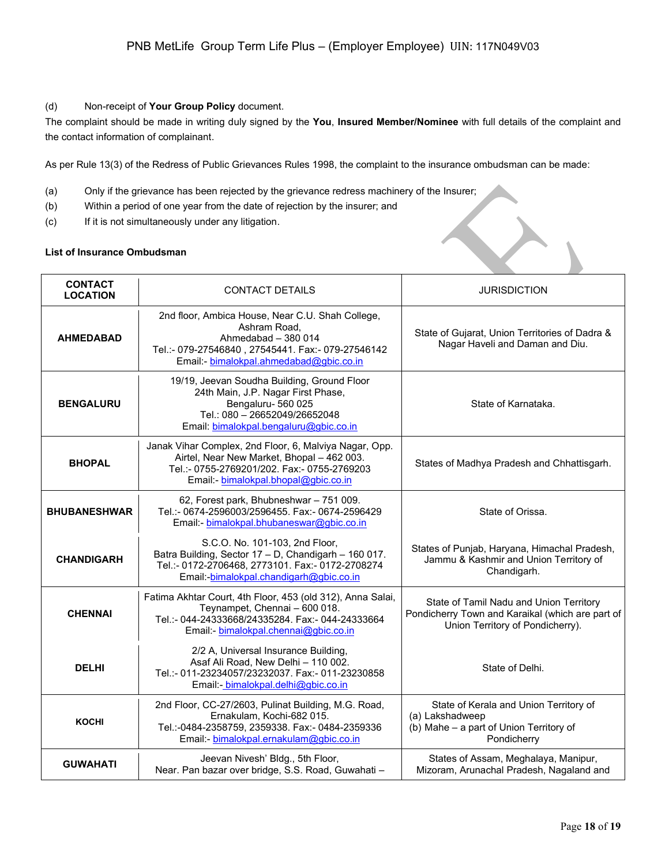### (d) Non-receipt of **Your Group Policy** document.

The complaint should be made in writing duly signed by the **You**, **Insured Member/Nominee** with full details of the complaint and the contact information of complainant.

As per Rule 13(3) of the Redress of Public Grievances Rules 1998, the complaint to the insurance ombudsman can be made:

- (a) Only if the grievance has been rejected by the grievance redress machinery of the Insurer;
- (b) Within a period of one year from the date of rejection by the insurer; and
- (c) If it is not simultaneously under any litigation.

## **List of Insurance Ombudsman**

| <b>CONTACT</b><br><b>LOCATION</b> | <b>CONTACT DETAILS</b>                                                                                                                                                                     | <b>JURISDICTION</b>                                                                                                             |
|-----------------------------------|--------------------------------------------------------------------------------------------------------------------------------------------------------------------------------------------|---------------------------------------------------------------------------------------------------------------------------------|
| <b>AHMEDABAD</b>                  | 2nd floor, Ambica House, Near C.U. Shah College,<br>Ashram Road.<br>Ahmedabad - 380 014<br>Tel.:- 079-27546840, 27545441. Fax:- 079-27546142<br>Email: bimalokpal.ahmedabad@gbic.co.in     | State of Gujarat, Union Territories of Dadra &<br>Nagar Haveli and Daman and Diu.                                               |
| <b>BENGALURU</b>                  | 19/19, Jeevan Soudha Building, Ground Floor<br>24th Main, J.P. Nagar First Phase,<br>Bengaluru-560025<br>Tel.: 080 - 26652049/26652048<br>Email: bimalokpal.bengaluru@gbic.co.in           | State of Karnataka.                                                                                                             |
| <b>BHOPAL</b>                     | Janak Vihar Complex, 2nd Floor, 6, Malviya Nagar, Opp.<br>Airtel, Near New Market, Bhopal - 462 003.<br>Tel.:- 0755-2769201/202. Fax:- 0755-2769203<br>Email: bimalokpal.bhopal@gbic.co.in | States of Madhya Pradesh and Chhattisgarh.                                                                                      |
| <b>BHUBANESHWAR</b>               | 62, Forest park, Bhubneshwar - 751 009.<br>Tel.:- 0674-2596003/2596455. Fax:- 0674-2596429<br>Email: bimalokpal.bhubaneswar@gbic.co.in                                                     | State of Orissa.                                                                                                                |
| <b>CHANDIGARH</b>                 | S.C.O. No. 101-103, 2nd Floor,<br>Batra Building, Sector 17 - D, Chandigarh - 160 017.<br>Tel.:- 0172-2706468, 2773101. Fax:- 0172-2708274<br>Email: bimalokpal.chandigarh@gbic.co.in      | States of Punjab, Haryana, Himachal Pradesh,<br>Jammu & Kashmir and Union Territory of<br>Chandigarh.                           |
| <b>CHENNAI</b>                    | Fatima Akhtar Court, 4th Floor, 453 (old 312), Anna Salai,<br>Teynampet, Chennai - 600 018.<br>Tel.:- 044-24333668/24335284. Fax:- 044-24333664<br>Email:- bimalokpal.chennai@gbic.co.in   | State of Tamil Nadu and Union Territory<br>Pondicherry Town and Karaikal (which are part of<br>Union Territory of Pondicherry). |
| <b>DELHI</b>                      | 2/2 A, Universal Insurance Building,<br>Asaf Ali Road, New Delhi - 110 002.<br>Tel.:- 011-23234057/23232037. Fax:- 011-23230858<br>Email: bimalokpal.delhi@gbic.co.in                      | State of Delhi.                                                                                                                 |
| <b>KOCHI</b>                      | 2nd Floor, CC-27/2603, Pulinat Building, M.G. Road,<br>Ernakulam, Kochi-682 015.<br>Tel.:-0484-2358759, 2359338. Fax:- 0484-2359336<br>Email:- bimalokpal.ernakulam@gbic.co.in             | State of Kerala and Union Territory of<br>(a) Lakshadweep<br>(b) Mahe - a part of Union Territory of<br>Pondicherry             |
| <b>GUWAHATI</b>                   | Jeevan Nivesh' Bldg., 5th Floor,<br>Near. Pan bazar over bridge, S.S. Road, Guwahati -                                                                                                     | States of Assam, Meghalaya, Manipur,<br>Mizoram, Arunachal Pradesh, Nagaland and                                                |

 $\leftarrow$